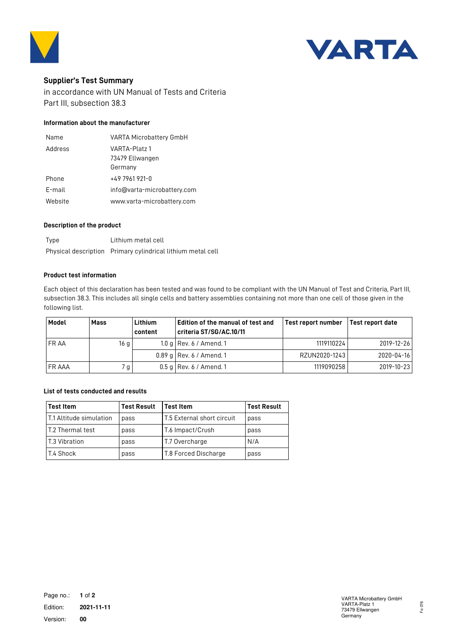



# **Supplier's Test Summary**

in accordance with UN Manual of Tests and Criteria Part III, subsection 38.3

# **Information about the manufacturer**

| Name    | VARTA Microbattery GmbH          |
|---------|----------------------------------|
| Address | VARTA-Platz 1<br>73479 Ellwangen |
|         | Germany                          |
| Phone   | $+497961921-0$                   |
| F-mail  | info@varta-microbattery.com      |
| Website | www.varta-microbattery.com       |

### **Description of the product**

| Type | Lithium metal cell                                          |
|------|-------------------------------------------------------------|
|      | Physical description Primary cylindrical lithium metal cell |

#### **Product test information**

Each object of this declaration has been tested and was found to be compliant with the UN Manual of Test and Criteria, Part III, subsection 38.3. This includes all single cells and battery assemblies containing not more than one cell of those given in the following list.

| Model       | Mass            | Lithium<br>content | Edition of the manual of test and<br>criteria ST/SG/AC.10/11 | Test report number | Test report date |
|-------------|-----------------|--------------------|--------------------------------------------------------------|--------------------|------------------|
| <b>FRAA</b> | 16 <sub>g</sub> |                    | 1.0 g   Rev. $6/$ Amend. 1                                   | 1119110224         | 2019-12-26       |
|             |                 |                    | $0.89$ g Rev. 6 / Amend. 1                                   | RZUN2020-1243      | 2020-04-16       |
| I FR AAA    | 7 g             |                    | $0.5$ g Rev. 6 / Amend. 1                                    | 1119090258         | 2019-10-23       |

## **List of tests conducted and results**

| <b>Test Item</b>                | <b>Test Result</b> | l Test Item                            | <b>Test Result</b> |
|---------------------------------|--------------------|----------------------------------------|--------------------|
| <b>IT.1 Altitude simulation</b> | pass               | $\mathsf I$ T.5 External short circuit | pass               |
| I T.2 Thermal test              | pass               | T.6 Impact/Crush                       | pass               |
| l T.3 Vibration                 | pass               | T.7 Overcharge                         | N/A                |
| T.4 Shock                       | pass               | T.8 Forced Discharge                   | pass               |

Fo 076